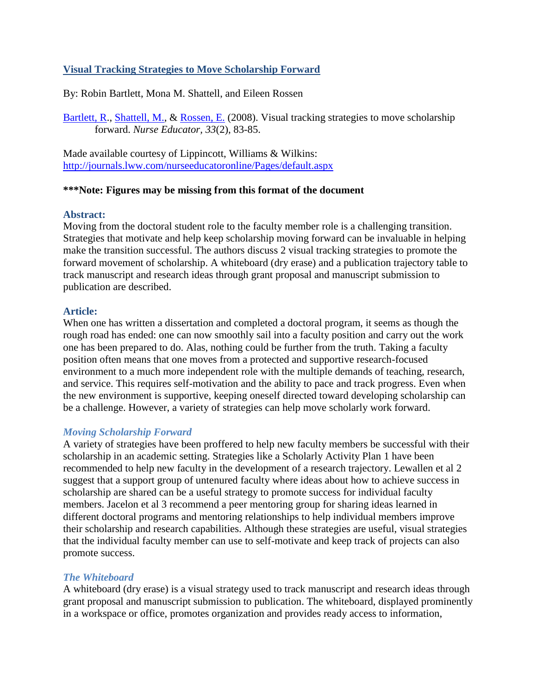### **Visual Tracking Strategies to Move Scholarship Forward**

By: Robin Bartlett, Mona M. Shattell, and Eileen Rossen

[Bartlett, R.](http://libres.uncg.edu/ir/uncg/clist.aspx?id=1649), [Shattell, M.,](http://libres.uncg.edu/ir/uncg/clist.aspx?id=1661) & [Rossen, E.](http://libres.uncg.edu/ir/uncg/clist.aspx?id=89) (2008). Visual tracking strategies to move scholarship forward. *Nurse Educator, 33*(2), 83-85.

Made available courtesy of Lippincott, Williams & Wilkins: <http://journals.lww.com/nurseeducatoronline/Pages/default.aspx>

### **\*\*\*Note: Figures may be missing from this format of the document**

### **Abstract:**

Moving from the doctoral student role to the faculty member role is a challenging transition. Strategies that motivate and help keep scholarship moving forward can be invaluable in helping make the transition successful. The authors discuss 2 visual tracking strategies to promote the forward movement of scholarship. A whiteboard (dry erase) and a publication trajectory table to track manuscript and research ideas through grant proposal and manuscript submission to publication are described.

#### **Article:**

When one has written a dissertation and completed a doctoral program, it seems as though the rough road has ended: one can now smoothly sail into a faculty position and carry out the work one has been prepared to do. Alas, nothing could be further from the truth. Taking a faculty position often means that one moves from a protected and supportive research-focused environment to a much more independent role with the multiple demands of teaching, research, and service. This requires self-motivation and the ability to pace and track progress. Even when the new environment is supportive, keeping oneself directed toward developing scholarship can be a challenge. However, a variety of strategies can help move scholarly work forward.

### *Moving Scholarship Forward*

A variety of strategies have been proffered to help new faculty members be successful with their scholarship in an academic setting. Strategies like a Scholarly Activity Plan 1 have been recommended to help new faculty in the development of a research trajectory. Lewallen et al 2 suggest that a support group of untenured faculty where ideas about how to achieve success in scholarship are shared can be a useful strategy to promote success for individual faculty members. Jacelon et al 3 recommend a peer mentoring group for sharing ideas learned in different doctoral programs and mentoring relationships to help individual members improve their scholarship and research capabilities. Although these strategies are useful, visual strategies that the individual faculty member can use to self-motivate and keep track of projects can also promote success.

#### *The Whiteboard*

A whiteboard (dry erase) is a visual strategy used to track manuscript and research ideas through grant proposal and manuscript submission to publication. The whiteboard, displayed prominently in a workspace or office, promotes organization and provides ready access to information,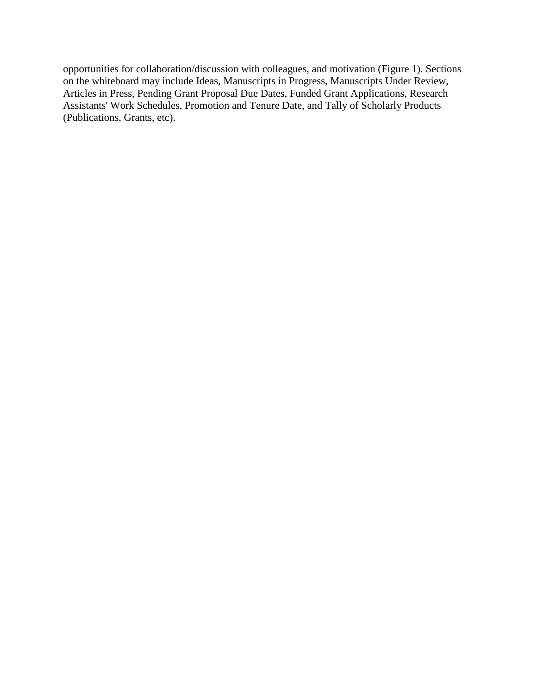opportunities for collaboration/discussion with colleagues, and motivation (Figure 1). Sections on the whiteboard may include Ideas, Manuscripts in Progress, Manuscripts Under Review, Articles in Press, Pending Grant Proposal Due Dates, Funded Grant Applications, Research Assistants' Work Schedules, Promotion and Tenure Date, and Tally of Scholarly Products (Publications, Grants, etc).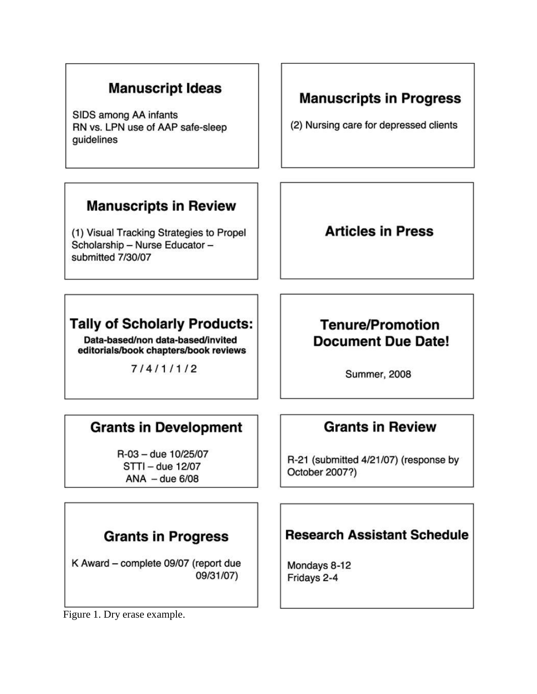## **Manuscript Ideas**

SIDS among AA infants RN vs. LPN use of AAP safe-sleep quidelines

### **Manuscripts in Review**

(1) Visual Tracking Strategies to Propel Scholarship - Nurse Educator submitted 7/30/07

# **Tally of Scholarly Products:**

Data-based/non data-based/invited editorials/book chapters/book reviews

 $7/4/1/1/2$ 

# **Manuscripts in Progress**

(2) Nursing care for depressed clients

## **Articles in Press**

## **Tenure/Promotion Document Due Date!**

**Summer, 2008** 

## **Grants in Development**

R-03 - due 10/25/07 STTI - due 12/07  $ANA - due 6/08$ 

# **Grants in Review**

R-21 (submitted 4/21/07) (response by October 2007?)

## **Grants in Progress**

K Award - complete 09/07 (report due 09/31/07)

Figure 1. Dry erase example.

## **Research Assistant Schedule**

Mondays 8-12 Fridays 2-4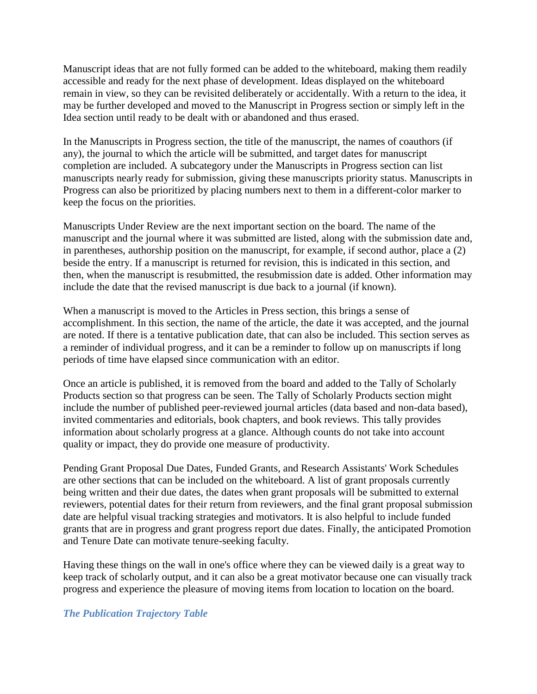Manuscript ideas that are not fully formed can be added to the whiteboard, making them readily accessible and ready for the next phase of development. Ideas displayed on the whiteboard remain in view, so they can be revisited deliberately or accidentally. With a return to the idea, it may be further developed and moved to the Manuscript in Progress section or simply left in the Idea section until ready to be dealt with or abandoned and thus erased.

In the Manuscripts in Progress section, the title of the manuscript, the names of coauthors (if any), the journal to which the article will be submitted, and target dates for manuscript completion are included. A subcategory under the Manuscripts in Progress section can list manuscripts nearly ready for submission, giving these manuscripts priority status. Manuscripts in Progress can also be prioritized by placing numbers next to them in a different-color marker to keep the focus on the priorities.

Manuscripts Under Review are the next important section on the board. The name of the manuscript and the journal where it was submitted are listed, along with the submission date and, in parentheses, authorship position on the manuscript, for example, if second author, place a (2) beside the entry. If a manuscript is returned for revision, this is indicated in this section, and then, when the manuscript is resubmitted, the resubmission date is added. Other information may include the date that the revised manuscript is due back to a journal (if known).

When a manuscript is moved to the Articles in Press section, this brings a sense of accomplishment. In this section, the name of the article, the date it was accepted, and the journal are noted. If there is a tentative publication date, that can also be included. This section serves as a reminder of individual progress, and it can be a reminder to follow up on manuscripts if long periods of time have elapsed since communication with an editor.

Once an article is published, it is removed from the board and added to the Tally of Scholarly Products section so that progress can be seen. The Tally of Scholarly Products section might include the number of published peer-reviewed journal articles (data based and non-data based), invited commentaries and editorials, book chapters, and book reviews. This tally provides information about scholarly progress at a glance. Although counts do not take into account quality or impact, they do provide one measure of productivity.

Pending Grant Proposal Due Dates, Funded Grants, and Research Assistants' Work Schedules are other sections that can be included on the whiteboard. A list of grant proposals currently being written and their due dates, the dates when grant proposals will be submitted to external reviewers, potential dates for their return from reviewers, and the final grant proposal submission date are helpful visual tracking strategies and motivators. It is also helpful to include funded grants that are in progress and grant progress report due dates. Finally, the anticipated Promotion and Tenure Date can motivate tenure-seeking faculty.

Having these things on the wall in one's office where they can be viewed daily is a great way to keep track of scholarly output, and it can also be a great motivator because one can visually track progress and experience the pleasure of moving items from location to location on the board.

### *The Publication Trajectory Table*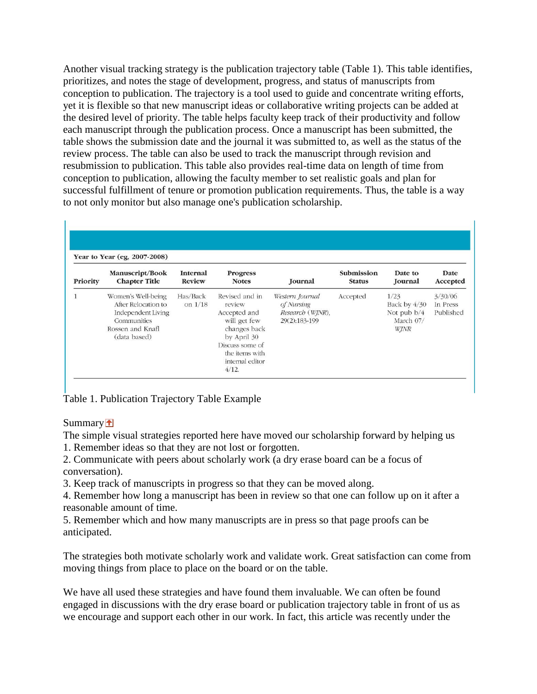Another visual tracking strategy is the publication trajectory table (Table 1). This table identifies, prioritizes, and notes the stage of development, progress, and status of manuscripts from conception to publication. The trajectory is a tool used to guide and concentrate writing efforts, yet it is flexible so that new manuscript ideas or collaborative writing projects can be added at the desired level of priority. The table helps faculty keep track of their productivity and follow each manuscript through the publication process. Once a manuscript has been submitted, the table shows the submission date and the journal it was submitted to, as well as the status of the review process. The table can also be used to track the manuscript through revision and resubmission to publication. This table also provides real-time data on length of time from conception to publication, allowing the faculty member to set realistic goals and plan for successful fulfillment of tenure or promotion publication requirements. Thus, the table is a way to not only monitor but also manage one's publication scholarship.

| Year to Year (eg, 2007-2008) |                                                                                                                    |                                  |                                                                                                                                                          |                                                                    |                                    |                                                            |                                  |
|------------------------------|--------------------------------------------------------------------------------------------------------------------|----------------------------------|----------------------------------------------------------------------------------------------------------------------------------------------------------|--------------------------------------------------------------------|------------------------------------|------------------------------------------------------------|----------------------------------|
| Priority                     | Manuscript/Book<br><b>Chapter Title</b>                                                                            | <b>Internal</b><br><b>Review</b> | <b>Progress</b><br><b>Notes</b>                                                                                                                          | Journal                                                            | <b>Submission</b><br><b>Status</b> | Date to<br>Journal                                         | Date<br>Accepted                 |
|                              | Women's Well-being<br>After Relocation to<br>Independent Living<br>Communities<br>Rossen and Knafl<br>(data based) | Has/Back<br>on $1/18$            | Revised and in<br>review<br>Accepted and<br>will get few<br>changes back<br>by April 30<br>Discuss some of<br>the items with<br>internal editor<br>4/12. | Western Journal<br>of Nursing<br>Research (WJNR),<br>29(2):183-199 | Accepted                           | 1/23<br>Back by 4/30<br>Not pub $b/4$<br>March 07/<br>WJNR | 3/30/06<br>In Press<br>Published |

Table 1. Publication Trajectory Table Example

Summary **1** 

The simple visual strategies reported here have moved our scholarship forward by helping us 1. Remember ideas so that they are not lost or forgotten.

2. Communicate with peers about scholarly work (a dry erase board can be a focus of conversation).

3. Keep track of manuscripts in progress so that they can be moved along.

4. Remember how long a manuscript has been in review so that one can follow up on it after a reasonable amount of time.

5. Remember which and how many manuscripts are in press so that page proofs can be anticipated.

The strategies both motivate scholarly work and validate work. Great satisfaction can come from moving things from place to place on the board or on the table.

We have all used these strategies and have found them invaluable. We can often be found engaged in discussions with the dry erase board or publication trajectory table in front of us as we encourage and support each other in our work. In fact, this article was recently under the